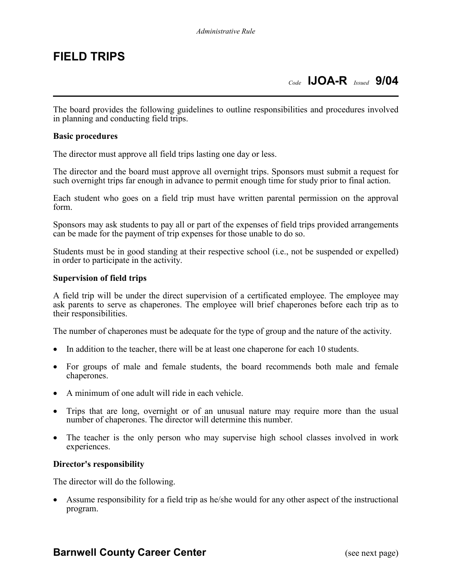## **FIELD TRIPS**

The board provides the following guidelines to outline responsibilities and procedures involved in planning and conducting field trips.

#### **Basic procedures**

The director must approve all field trips lasting one day or less.

The director and the board must approve all overnight trips. Sponsors must submit a request for such overnight trips far enough in advance to permit enough time for study prior to final action.

Each student who goes on a field trip must have written parental permission on the approval form.

Sponsors may ask students to pay all or part of the expenses of field trips provided arrangements can be made for the payment of trip expenses for those unable to do so.

Students must be in good standing at their respective school (i.e., not be suspended or expelled) in order to participate in the activity.

#### **Supervision of field trips**

A field trip will be under the direct supervision of a certificated employee. The employee may ask parents to serve as chaperones. The employee will brief chaperones before each trip as to their responsibilities.

The number of chaperones must be adequate for the type of group and the nature of the activity.

- In addition to the teacher, there will be at least one chaperone for each 10 students.
- For groups of male and female students, the board recommends both male and female chaperones.
- A minimum of one adult will ride in each vehicle.
- Trips that are long, overnight or of an unusual nature may require more than the usual number of chaperones. The director will determine this number.
- The teacher is the only person who may supervise high school classes involved in work experiences.

#### **Director's responsibility**

The director will do the following.

• Assume responsibility for a field trip as he/she would for any other aspect of the instructional program.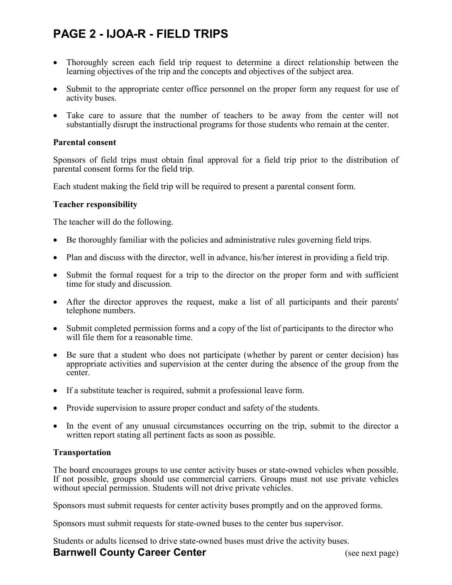# **PAGE 2 - IJOA-R - FIELD TRIPS**

- Thoroughly screen each field trip request to determine a direct relationship between the learning objectives of the trip and the concepts and objectives of the subject area.
- Submit to the appropriate center office personnel on the proper form any request for use of activity buses.
- Take care to assure that the number of teachers to be away from the center will not substantially disrupt the instructional programs for those students who remain at the center.

#### **Parental consent**

Sponsors of field trips must obtain final approval for a field trip prior to the distribution of parental consent forms for the field trip.

Each student making the field trip will be required to present a parental consent form.

#### **Teacher responsibility**

The teacher will do the following.

- Be thoroughly familiar with the policies and administrative rules governing field trips.
- Plan and discuss with the director, well in advance, his/her interest in providing a field trip.
- Submit the formal request for a trip to the director on the proper form and with sufficient time for study and discussion.
- After the director approves the request, make a list of all participants and their parents' telephone numbers.
- Submit completed permission forms and a copy of the list of participants to the director who will file them for a reasonable time.
- Be sure that a student who does not participate (whether by parent or center decision) has appropriate activities and supervision at the center during the absence of the group from the center.
- If a substitute teacher is required, submit a professional leave form.
- Provide supervision to assure proper conduct and safety of the students.
- In the event of any unusual circumstances occurring on the trip, submit to the director a written report stating all pertinent facts as soon as possible.

#### **Transportation**

The board encourages groups to use center activity buses or state-owned vehicles when possible. If not possible, groups should use commercial carriers. Groups must not use private vehicles without special permission. Students will not drive private vehicles.

Sponsors must submit requests for center activity buses promptly and on the approved forms.

Sponsors must submit requests for state-owned buses to the center bus supervisor.

Students or adults licensed to drive state-owned buses must drive the activity buses.

### **Barnwell County Career Center** (see next page)